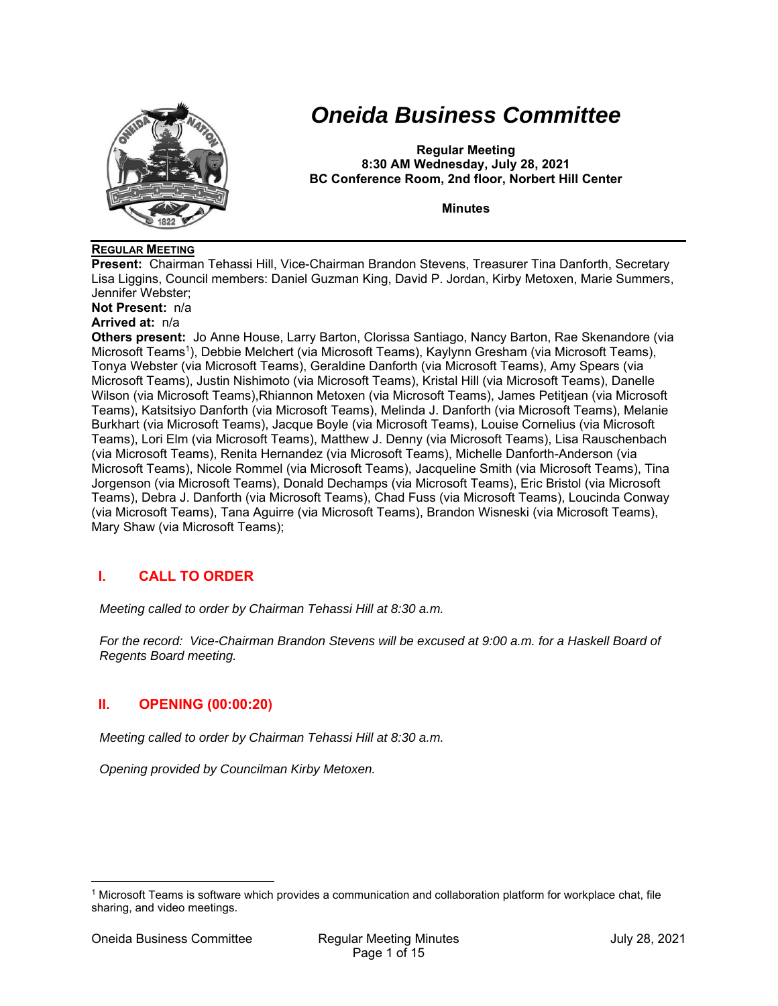

# *Oneida Business Committee*

**Regular Meeting 8:30 AM Wednesday, July 28, 2021 BC Conference Room, 2nd floor, Norbert Hill Center** 

**Minutes** 

#### **REGULAR MEETING**

**Present:** Chairman Tehassi Hill, Vice-Chairman Brandon Stevens, Treasurer Tina Danforth, Secretary Lisa Liggins, Council members: Daniel Guzman King, David P. Jordan, Kirby Metoxen, Marie Summers, Jennifer Webster;

**Not Present:** n/a

# **Arrived at:** n/a

**Others present:** Jo Anne House, Larry Barton, Clorissa Santiago, Nancy Barton, Rae Skenandore (via Microsoft Teams1), Debbie Melchert (via Microsoft Teams), Kaylynn Gresham (via Microsoft Teams), Tonya Webster (via Microsoft Teams), Geraldine Danforth (via Microsoft Teams), Amy Spears (via Microsoft Teams), Justin Nishimoto (via Microsoft Teams), Kristal Hill (via Microsoft Teams), Danelle Wilson (via Microsoft Teams),Rhiannon Metoxen (via Microsoft Teams), James Petitjean (via Microsoft Teams), Katsitsiyo Danforth (via Microsoft Teams), Melinda J. Danforth (via Microsoft Teams), Melanie Burkhart (via Microsoft Teams), Jacque Boyle (via Microsoft Teams), Louise Cornelius (via Microsoft Teams), Lori Elm (via Microsoft Teams), Matthew J. Denny (via Microsoft Teams), Lisa Rauschenbach (via Microsoft Teams), Renita Hernandez (via Microsoft Teams), Michelle Danforth-Anderson (via Microsoft Teams), Nicole Rommel (via Microsoft Teams), Jacqueline Smith (via Microsoft Teams), Tina Jorgenson (via Microsoft Teams), Donald Dechamps (via Microsoft Teams), Eric Bristol (via Microsoft Teams), Debra J. Danforth (via Microsoft Teams), Chad Fuss (via Microsoft Teams), Loucinda Conway (via Microsoft Teams), Tana Aguirre (via Microsoft Teams), Brandon Wisneski (via Microsoft Teams), Mary Shaw (via Microsoft Teams);

# **I. CALL TO ORDER**

*Meeting called to order by Chairman Tehassi Hill at 8:30 a.m.* 

*For the record: Vice-Chairman Brandon Stevens will be excused at 9:00 a.m. for a Haskell Board of Regents Board meeting.* 

# **II. OPENING (00:00:20)**

*Meeting called to order by Chairman Tehassi Hill at 8:30 a.m.* 

*Opening provided by Councilman Kirby Metoxen.* 

<sup>1</sup> Microsoft Teams is software which provides a communication and collaboration platform for workplace chat, file sharing, and video meetings.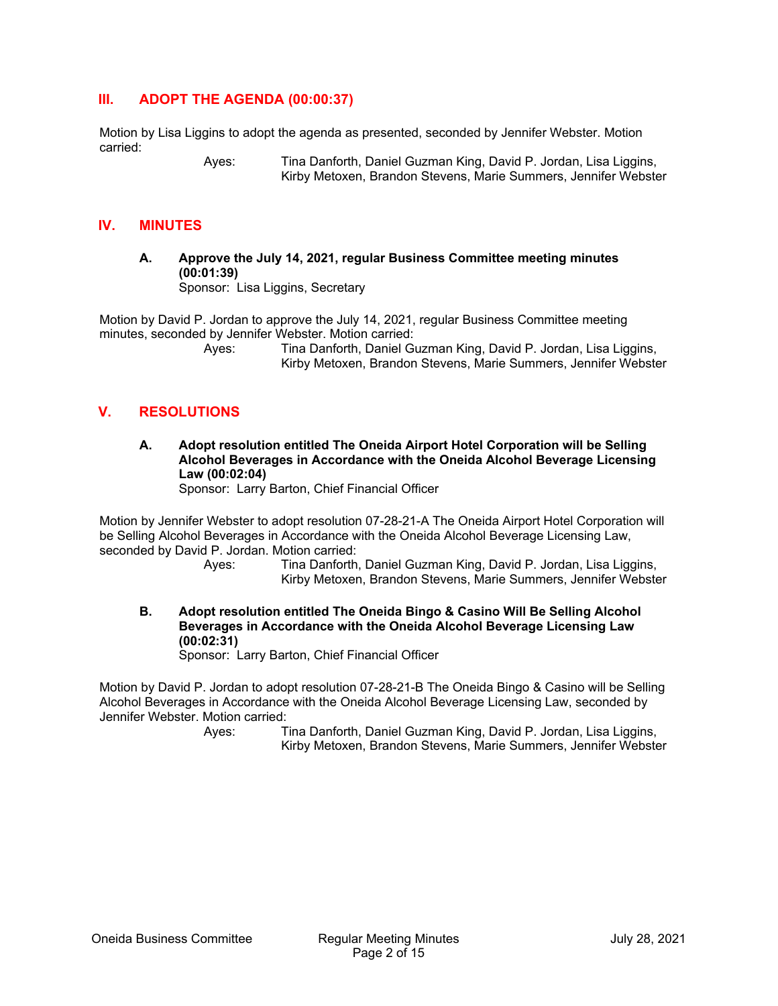# **III. ADOPT THE AGENDA (00:00:37)**

Motion by Lisa Liggins to adopt the agenda as presented, seconded by Jennifer Webster. Motion carried:

 Ayes: Tina Danforth, Daniel Guzman King, David P. Jordan, Lisa Liggins, Kirby Metoxen, Brandon Stevens, Marie Summers, Jennifer Webster

# **IV. MINUTES**

**A. Approve the July 14, 2021, regular Business Committee meeting minutes (00:01:39)**  Sponsor: Lisa Liggins, Secretary

Motion by David P. Jordan to approve the July 14, 2021, regular Business Committee meeting minutes, seconded by Jennifer Webster. Motion carried:

 Ayes: Tina Danforth, Daniel Guzman King, David P. Jordan, Lisa Liggins, Kirby Metoxen, Brandon Stevens, Marie Summers, Jennifer Webster

# **V. RESOLUTIONS**

**A. Adopt resolution entitled The Oneida Airport Hotel Corporation will be Selling Alcohol Beverages in Accordance with the Oneida Alcohol Beverage Licensing Law (00:02:04)** 

Sponsor: Larry Barton, Chief Financial Officer

Motion by Jennifer Webster to adopt resolution 07-28-21-A The Oneida Airport Hotel Corporation will be Selling Alcohol Beverages in Accordance with the Oneida Alcohol Beverage Licensing Law, seconded by David P. Jordan. Motion carried:

- Ayes: Tina Danforth, Daniel Guzman King, David P. Jordan, Lisa Liggins, Kirby Metoxen, Brandon Stevens, Marie Summers, Jennifer Webster
- **B. Adopt resolution entitled The Oneida Bingo & Casino Will Be Selling Alcohol Beverages in Accordance with the Oneida Alcohol Beverage Licensing Law (00:02:31)**

Sponsor: Larry Barton, Chief Financial Officer

Motion by David P. Jordan to adopt resolution 07-28-21-B The Oneida Bingo & Casino will be Selling Alcohol Beverages in Accordance with the Oneida Alcohol Beverage Licensing Law, seconded by Jennifer Webster. Motion carried: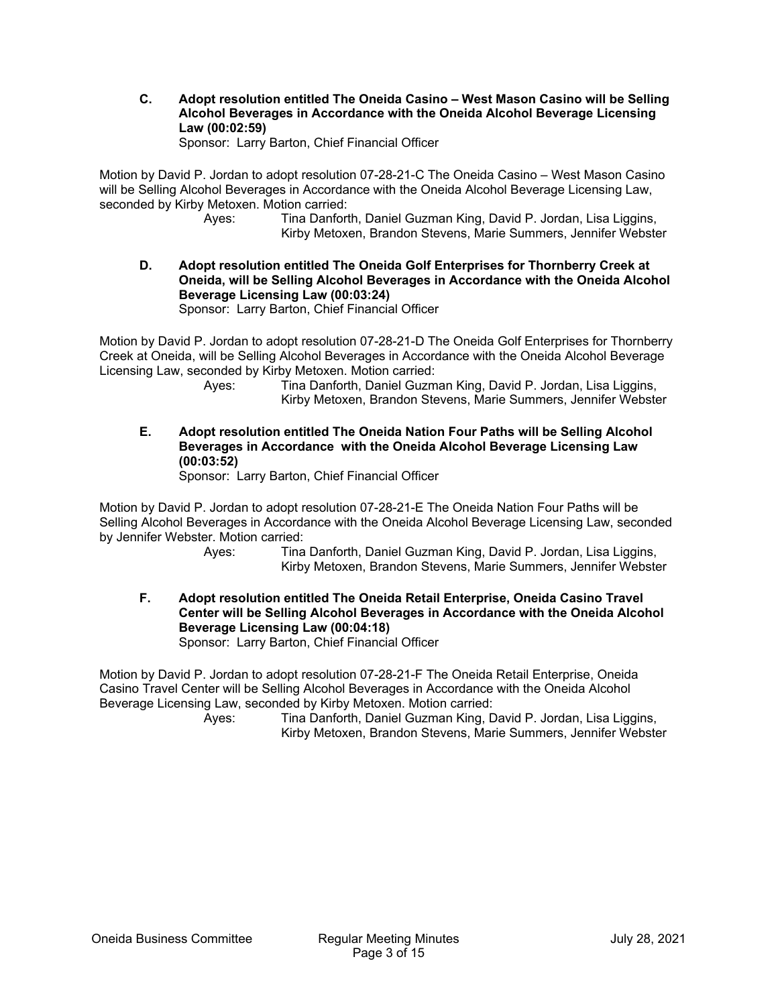**C. Adopt resolution entitled The Oneida Casino – West Mason Casino will be Selling Alcohol Beverages in Accordance with the Oneida Alcohol Beverage Licensing Law (00:02:59)** 

Sponsor: Larry Barton, Chief Financial Officer

Motion by David P. Jordan to adopt resolution 07-28-21-C The Oneida Casino – West Mason Casino will be Selling Alcohol Beverages in Accordance with the Oneida Alcohol Beverage Licensing Law, seconded by Kirby Metoxen. Motion carried:

> Ayes: Tina Danforth, Daniel Guzman King, David P. Jordan, Lisa Liggins, Kirby Metoxen, Brandon Stevens, Marie Summers, Jennifer Webster

**D. Adopt resolution entitled The Oneida Golf Enterprises for Thornberry Creek at Oneida, will be Selling Alcohol Beverages in Accordance with the Oneida Alcohol Beverage Licensing Law (00:03:24)** 

Sponsor: Larry Barton, Chief Financial Officer

Motion by David P. Jordan to adopt resolution 07-28-21-D The Oneida Golf Enterprises for Thornberry Creek at Oneida, will be Selling Alcohol Beverages in Accordance with the Oneida Alcohol Beverage Licensing Law, seconded by Kirby Metoxen. Motion carried:

 Ayes: Tina Danforth, Daniel Guzman King, David P. Jordan, Lisa Liggins, Kirby Metoxen, Brandon Stevens, Marie Summers, Jennifer Webster

**E. Adopt resolution entitled The Oneida Nation Four Paths will be Selling Alcohol Beverages in Accordance with the Oneida Alcohol Beverage Licensing Law (00:03:52)**  Sponsor: Larry Barton, Chief Financial Officer

Motion by David P. Jordan to adopt resolution 07-28-21-E The Oneida Nation Four Paths will be Selling Alcohol Beverages in Accordance with the Oneida Alcohol Beverage Licensing Law, seconded by Jennifer Webster. Motion carried:

> Ayes: Tina Danforth, Daniel Guzman King, David P. Jordan, Lisa Liggins, Kirby Metoxen, Brandon Stevens, Marie Summers, Jennifer Webster

**F. Adopt resolution entitled The Oneida Retail Enterprise, Oneida Casino Travel Center will be Selling Alcohol Beverages in Accordance with the Oneida Alcohol Beverage Licensing Law (00:04:18)**  Sponsor: Larry Barton, Chief Financial Officer

Motion by David P. Jordan to adopt resolution 07-28-21-F The Oneida Retail Enterprise, Oneida Casino Travel Center will be Selling Alcohol Beverages in Accordance with the Oneida Alcohol Beverage Licensing Law, seconded by Kirby Metoxen. Motion carried: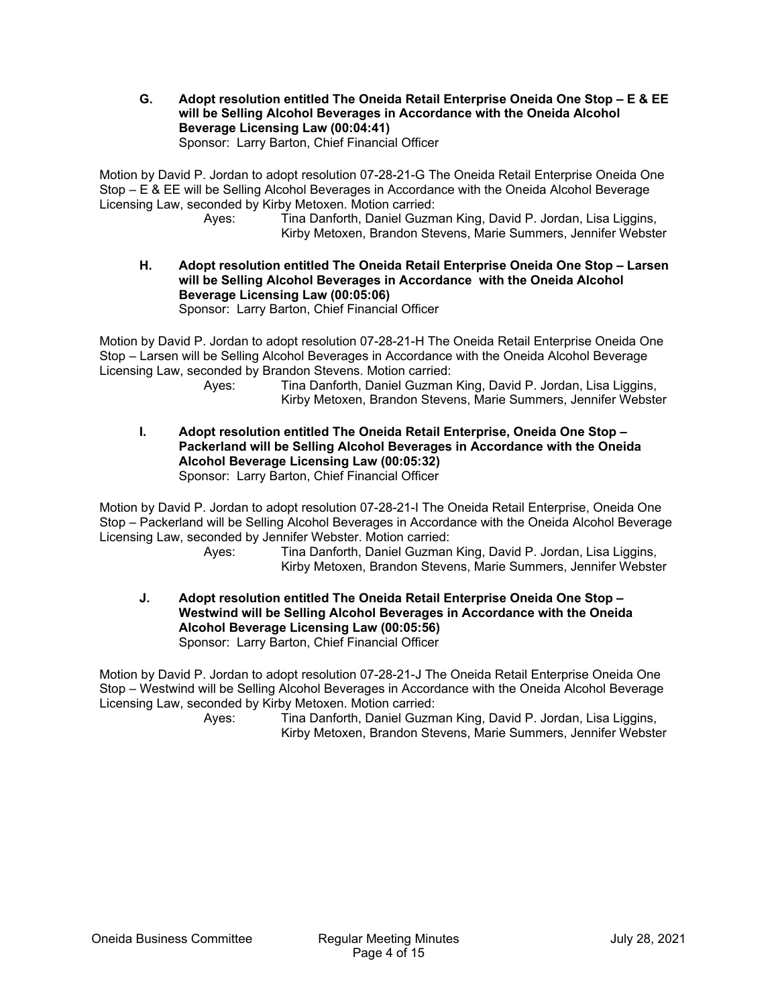**G. Adopt resolution entitled The Oneida Retail Enterprise Oneida One Stop – E & EE will be Selling Alcohol Beverages in Accordance with the Oneida Alcohol Beverage Licensing Law (00:04:41)** 

Sponsor: Larry Barton, Chief Financial Officer

Motion by David P. Jordan to adopt resolution 07-28-21-G The Oneida Retail Enterprise Oneida One Stop – E & EE will be Selling Alcohol Beverages in Accordance with the Oneida Alcohol Beverage Licensing Law, seconded by Kirby Metoxen. Motion carried:

 Ayes: Tina Danforth, Daniel Guzman King, David P. Jordan, Lisa Liggins, Kirby Metoxen, Brandon Stevens, Marie Summers, Jennifer Webster

**H. Adopt resolution entitled The Oneida Retail Enterprise Oneida One Stop – Larsen will be Selling Alcohol Beverages in Accordance with the Oneida Alcohol Beverage Licensing Law (00:05:06)**  Sponsor: Larry Barton, Chief Financial Officer

Motion by David P. Jordan to adopt resolution 07-28-21-H The Oneida Retail Enterprise Oneida One Stop – Larsen will be Selling Alcohol Beverages in Accordance with the Oneida Alcohol Beverage Licensing Law, seconded by Brandon Stevens. Motion carried:

 Ayes: Tina Danforth, Daniel Guzman King, David P. Jordan, Lisa Liggins, Kirby Metoxen, Brandon Stevens, Marie Summers, Jennifer Webster

**I. Adopt resolution entitled The Oneida Retail Enterprise, Oneida One Stop – Packerland will be Selling Alcohol Beverages in Accordance with the Oneida Alcohol Beverage Licensing Law (00:05:32)**  Sponsor: Larry Barton, Chief Financial Officer

Motion by David P. Jordan to adopt resolution 07-28-21-I The Oneida Retail Enterprise, Oneida One Stop – Packerland will be Selling Alcohol Beverages in Accordance with the Oneida Alcohol Beverage Licensing Law, seconded by Jennifer Webster. Motion carried:

Ayes: Tina Danforth, Daniel Guzman King, David P. Jordan, Lisa Liggins, Kirby Metoxen, Brandon Stevens, Marie Summers, Jennifer Webster

**J. Adopt resolution entitled The Oneida Retail Enterprise Oneida One Stop – Westwind will be Selling Alcohol Beverages in Accordance with the Oneida Alcohol Beverage Licensing Law (00:05:56)**  Sponsor: Larry Barton, Chief Financial Officer

Motion by David P. Jordan to adopt resolution 07-28-21-J The Oneida Retail Enterprise Oneida One Stop – Westwind will be Selling Alcohol Beverages in Accordance with the Oneida Alcohol Beverage Licensing Law, seconded by Kirby Metoxen. Motion carried: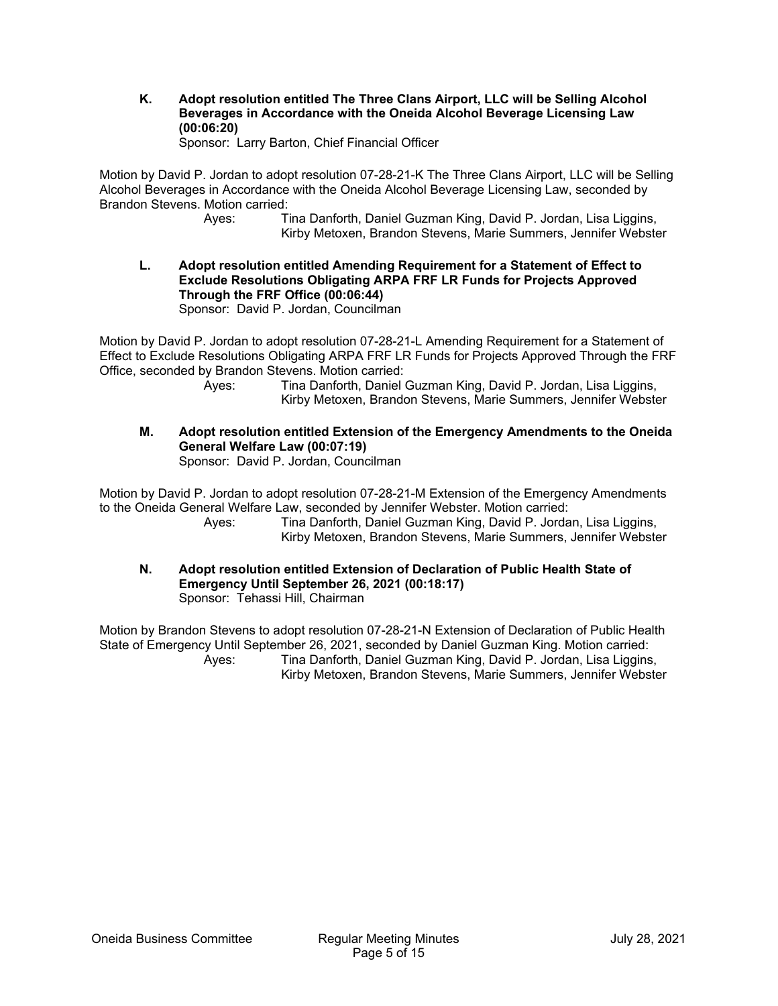**K. Adopt resolution entitled The Three Clans Airport, LLC will be Selling Alcohol Beverages in Accordance with the Oneida Alcohol Beverage Licensing Law (00:06:20)** 

Sponsor: Larry Barton, Chief Financial Officer

Motion by David P. Jordan to adopt resolution 07-28-21-K The Three Clans Airport, LLC will be Selling Alcohol Beverages in Accordance with the Oneida Alcohol Beverage Licensing Law, seconded by Brandon Stevens. Motion carried:

> Ayes: Tina Danforth, Daniel Guzman King, David P. Jordan, Lisa Liggins, Kirby Metoxen, Brandon Stevens, Marie Summers, Jennifer Webster

**L. Adopt resolution entitled Amending Requirement for a Statement of Effect to Exclude Resolutions Obligating ARPA FRF LR Funds for Projects Approved Through the FRF Office (00:06:44)** 

Sponsor: David P. Jordan, Councilman

Motion by David P. Jordan to adopt resolution 07-28-21-L Amending Requirement for a Statement of Effect to Exclude Resolutions Obligating ARPA FRF LR Funds for Projects Approved Through the FRF Office, seconded by Brandon Stevens. Motion carried:

 Ayes: Tina Danforth, Daniel Guzman King, David P. Jordan, Lisa Liggins, Kirby Metoxen, Brandon Stevens, Marie Summers, Jennifer Webster

**M. Adopt resolution entitled Extension of the Emergency Amendments to the Oneida General Welfare Law (00:07:19)** 

Sponsor: David P. Jordan, Councilman

Motion by David P. Jordan to adopt resolution 07-28-21-M Extension of the Emergency Amendments to the Oneida General Welfare Law, seconded by Jennifer Webster. Motion carried:

 Ayes: Tina Danforth, Daniel Guzman King, David P. Jordan, Lisa Liggins, Kirby Metoxen, Brandon Stevens, Marie Summers, Jennifer Webster

**N. Adopt resolution entitled Extension of Declaration of Public Health State of Emergency Until September 26, 2021 (00:18:17)**  Sponsor: Tehassi Hill, Chairman

Motion by Brandon Stevens to adopt resolution 07-28-21-N Extension of Declaration of Public Health State of Emergency Until September 26, 2021, seconded by Daniel Guzman King. Motion carried: Ayes: Tina Danforth, Daniel Guzman King, David P. Jordan, Lisa Liggins, Kirby Metoxen, Brandon Stevens, Marie Summers, Jennifer Webster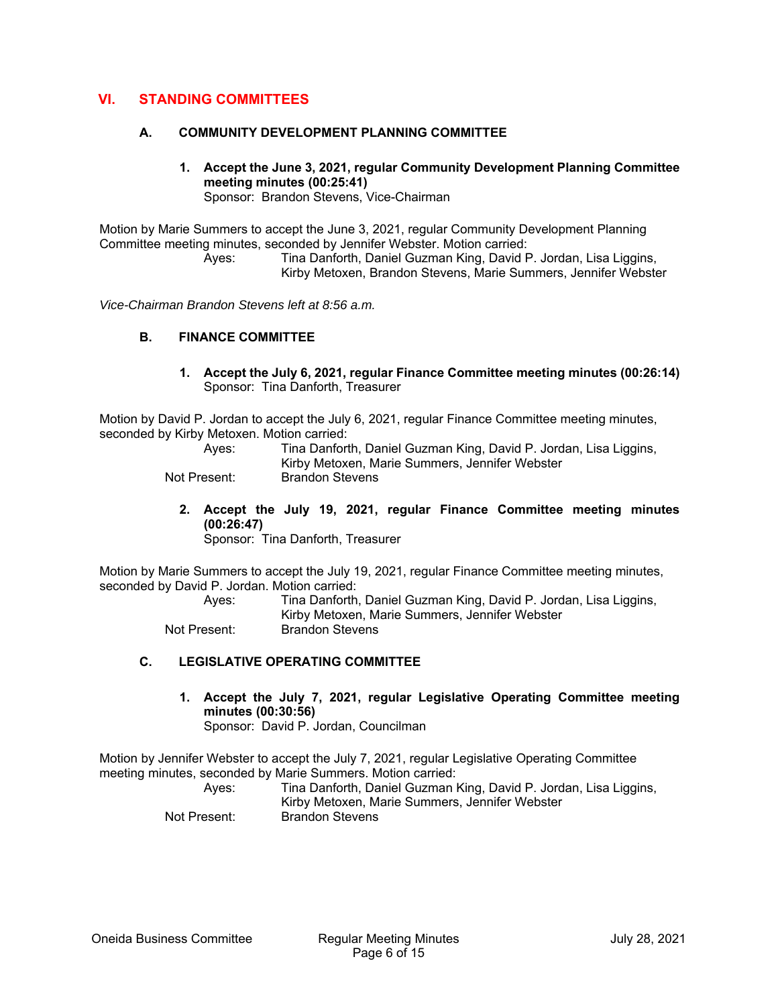# **VI. STANDING COMMITTEES**

#### **A. COMMUNITY DEVELOPMENT PLANNING COMMITTEE**

**1. Accept the June 3, 2021, regular Community Development Planning Committee meeting minutes (00:25:41)**  Sponsor: Brandon Stevens, Vice-Chairman

Motion by Marie Summers to accept the June 3, 2021, regular Community Development Planning Committee meeting minutes, seconded by Jennifer Webster. Motion carried:

> Ayes: Tina Danforth, Daniel Guzman King, David P. Jordan, Lisa Liggins, Kirby Metoxen, Brandon Stevens, Marie Summers, Jennifer Webster

*Vice-Chairman Brandon Stevens left at 8:56 a.m.* 

#### **B. FINANCE COMMITTEE**

**1. Accept the July 6, 2021, regular Finance Committee meeting minutes (00:26:14)**  Sponsor: Tina Danforth, Treasurer

Motion by David P. Jordan to accept the July 6, 2021, regular Finance Committee meeting minutes, seconded by Kirby Metoxen. Motion carried:

| Aves:        | Tina Danforth, Daniel Guzman King, David P. Jordan, Lisa Liggins, |
|--------------|-------------------------------------------------------------------|
|              | Kirby Metoxen, Marie Summers, Jennifer Webster                    |
| Not Present: | Brandon Stevens                                                   |

**2. Accept the July 19, 2021, regular Finance Committee meeting minutes (00:26:47)** 

Sponsor: Tina Danforth, Treasurer

Motion by Marie Summers to accept the July 19, 2021, regular Finance Committee meeting minutes, seconded by David P. Jordan. Motion carried:

 Ayes: Tina Danforth, Daniel Guzman King, David P. Jordan, Lisa Liggins, Kirby Metoxen, Marie Summers, Jennifer Webster

Not Present: Brandon Stevens

#### **C. LEGISLATIVE OPERATING COMMITTEE**

**1. Accept the July 7, 2021, regular Legislative Operating Committee meeting minutes (00:30:56)**  Sponsor: David P. Jordan, Councilman

Motion by Jennifer Webster to accept the July 7, 2021, regular Legislative Operating Committee meeting minutes, seconded by Marie Summers. Motion carried: Ayes: Tina Danforth, Daniel Guzman King, David P. Jordan, Lisa Liggins, Kirby Metoxen, Marie Summers, Jennifer Webster

Not Present: Brandon Stevens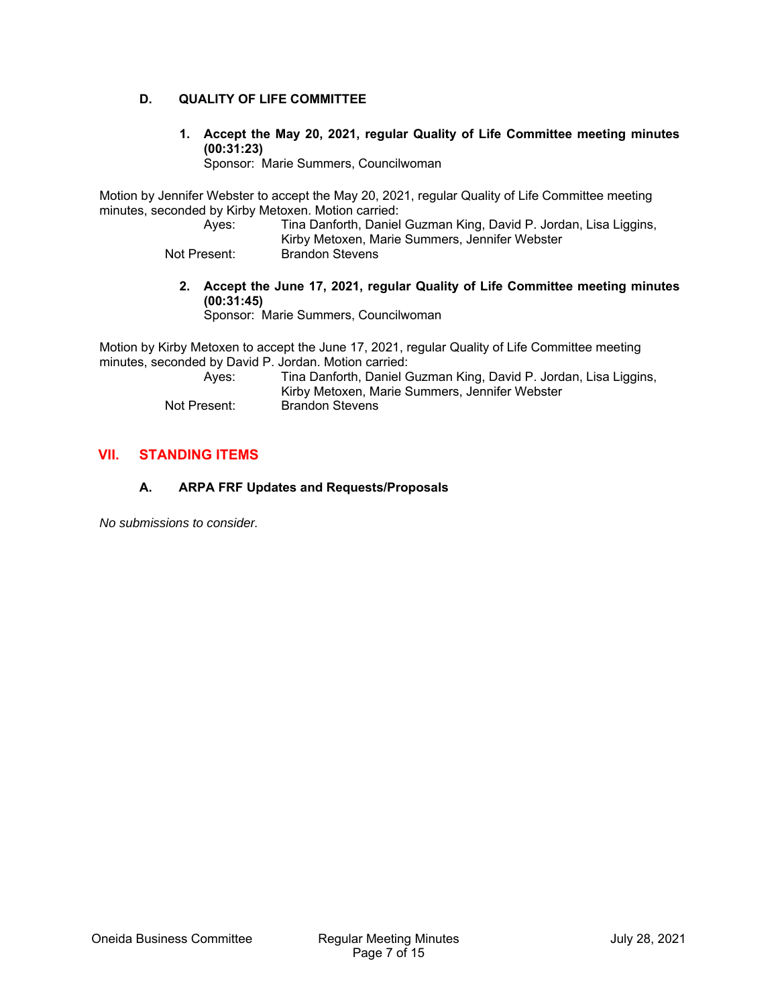# **D. QUALITY OF LIFE COMMITTEE**

**1. Accept the May 20, 2021, regular Quality of Life Committee meeting minutes (00:31:23)** 

Sponsor: Marie Summers, Councilwoman

Motion by Jennifer Webster to accept the May 20, 2021, regular Quality of Life Committee meeting minutes, seconded by Kirby Metoxen. Motion carried:

Ayes: Tina Danforth, Daniel Guzman King, David P. Jordan, Lisa Liggins, Kirby Metoxen, Marie Summers, Jennifer Webster

Not Present: Brandon Stevens

**2. Accept the June 17, 2021, regular Quality of Life Committee meeting minutes (00:31:45)** 

Sponsor: Marie Summers, Councilwoman

Motion by Kirby Metoxen to accept the June 17, 2021, regular Quality of Life Committee meeting minutes, seconded by David P. Jordan. Motion carried:

| Aves:        | Tina Danforth, Daniel Guzman King, David P. Jordan, Lisa Liggins, |
|--------------|-------------------------------------------------------------------|
|              | Kirby Metoxen, Marie Summers, Jennifer Webster                    |
| Not Present: | Brandon Stevens                                                   |

# **VII. STANDING ITEMS**

# **A. ARPA FRF Updates and Requests/Proposals**

*No submissions to consider.*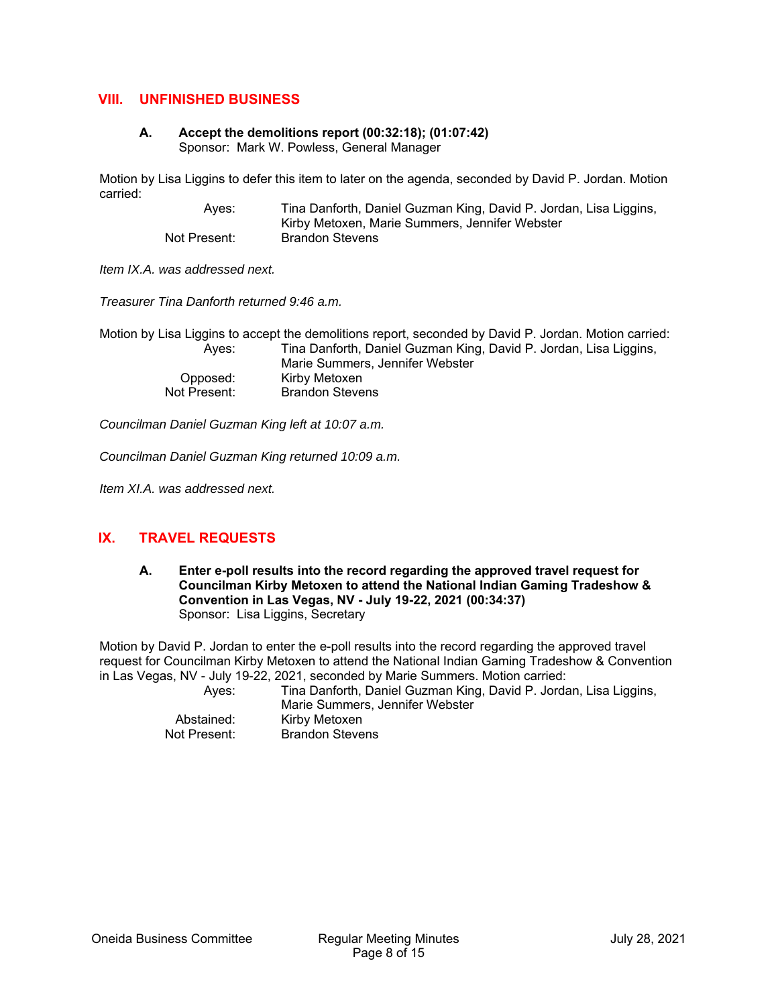# **VIII. UNFINISHED BUSINESS**

#### **A. Accept the demolitions report (00:32:18); (01:07:42)**  Sponsor: Mark W. Powless, General Manager

Motion by Lisa Liggins to defer this item to later on the agenda, seconded by David P. Jordan. Motion carried:

 Ayes: Tina Danforth, Daniel Guzman King, David P. Jordan, Lisa Liggins, Kirby Metoxen, Marie Summers, Jennifer Webster Not Present: Brandon Stevens

*Item IX.A. was addressed next.* 

*Treasurer Tina Danforth returned 9:46 a.m.* 

Motion by Lisa Liggins to accept the demolitions report, seconded by David P. Jordan. Motion carried: Ayes: Tina Danforth, Daniel Guzman King, David P. Jordan, Lisa Liggins, Marie Summers, Jennifer Webster Opposed: Kirby Metoxen Not Present: Brandon Stevens

*Councilman Daniel Guzman King left at 10:07 a.m.* 

*Councilman Daniel Guzman King returned 10:09 a.m.* 

*Item XI.A. was addressed next.* 

# **IX. TRAVEL REQUESTS**

**A. Enter e-poll results into the record regarding the approved travel request for Councilman Kirby Metoxen to attend the National Indian Gaming Tradeshow & Convention in Las Vegas, NV - July 19-22, 2021 (00:34:37)**  Sponsor: Lisa Liggins, Secretary

Motion by David P. Jordan to enter the e-poll results into the record regarding the approved travel request for Councilman Kirby Metoxen to attend the National Indian Gaming Tradeshow & Convention in Las Vegas, NV - July 19-22, 2021, seconded by Marie Summers. Motion carried:

 Ayes: Tina Danforth, Daniel Guzman King, David P. Jordan, Lisa Liggins, Marie Summers, Jennifer Webster Abstained: Kirby Metoxen<br>Not Present: Brandon Steve Brandon Stevens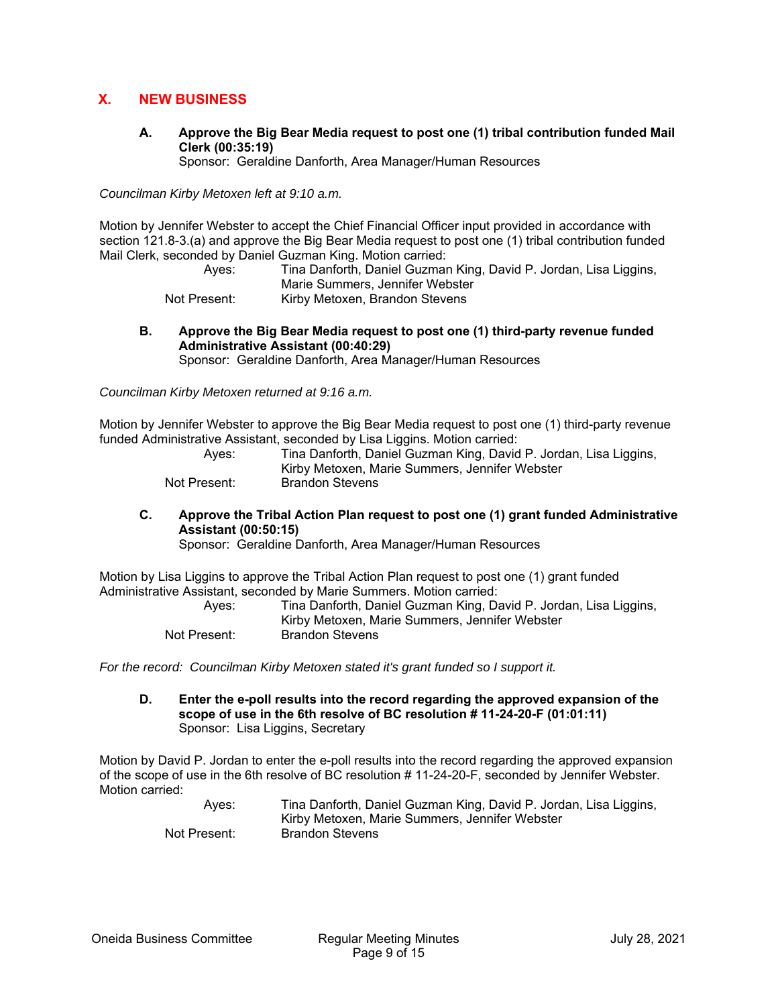# **X. NEW BUSINESS**

**A. Approve the Big Bear Media request to post one (1) tribal contribution funded Mail Clerk (00:35:19)** 

Sponsor: Geraldine Danforth, Area Manager/Human Resources

*Councilman Kirby Metoxen left at 9:10 a.m.* 

Motion by Jennifer Webster to accept the Chief Financial Officer input provided in accordance with section 121.8-3.(a) and approve the Big Bear Media request to post one (1) tribal contribution funded Mail Clerk, seconded by Daniel Guzman King. Motion carried:

 Ayes: Tina Danforth, Daniel Guzman King, David P. Jordan, Lisa Liggins, Marie Summers, Jennifer Webster Not Present: Kirby Metoxen, Brandon Stevens

**B. Approve the Big Bear Media request to post one (1) third-party revenue funded Administrative Assistant (00:40:29)** 

Sponsor: Geraldine Danforth, Area Manager/Human Resources

*Councilman Kirby Metoxen returned at 9:16 a.m.* 

Motion by Jennifer Webster to approve the Big Bear Media request to post one (1) third-party revenue funded Administrative Assistant, seconded by Lisa Liggins. Motion carried:

| Aves:        | Tina Danforth, Daniel Guzman King, David P. Jordan, Lisa Liggins, |
|--------------|-------------------------------------------------------------------|
|              | Kirby Metoxen, Marie Summers, Jennifer Webster                    |
| Not Present: | Brandon Stevens                                                   |

**C. Approve the Tribal Action Plan request to post one (1) grant funded Administrative Assistant (00:50:15)** 

Sponsor: Geraldine Danforth, Area Manager/Human Resources

Motion by Lisa Liggins to approve the Tribal Action Plan request to post one (1) grant funded Administrative Assistant, seconded by Marie Summers. Motion carried:

| Aves:        | Tina Danforth, Daniel Guzman King, David P. Jordan, Lisa Liggins, |
|--------------|-------------------------------------------------------------------|
|              | Kirby Metoxen, Marie Summers, Jennifer Webster                    |
| Not Present: | Brandon Stevens                                                   |

*For the record: Councilman Kirby Metoxen stated it's grant funded so I support it.* 

**D. Enter the e-poll results into the record regarding the approved expansion of the scope of use in the 6th resolve of BC resolution # 11-24-20-F (01:01:11)**  Sponsor: Lisa Liggins, Secretary

Motion by David P. Jordan to enter the e-poll results into the record regarding the approved expansion of the scope of use in the 6th resolve of BC resolution # 11-24-20-F, seconded by Jennifer Webster. Motion carried:

| Aves:        | Tina Danforth, Daniel Guzman King, David P. Jordan, Lisa Liggins, |
|--------------|-------------------------------------------------------------------|
|              | Kirby Metoxen, Marie Summers, Jennifer Webster                    |
| Not Present: | Brandon Stevens                                                   |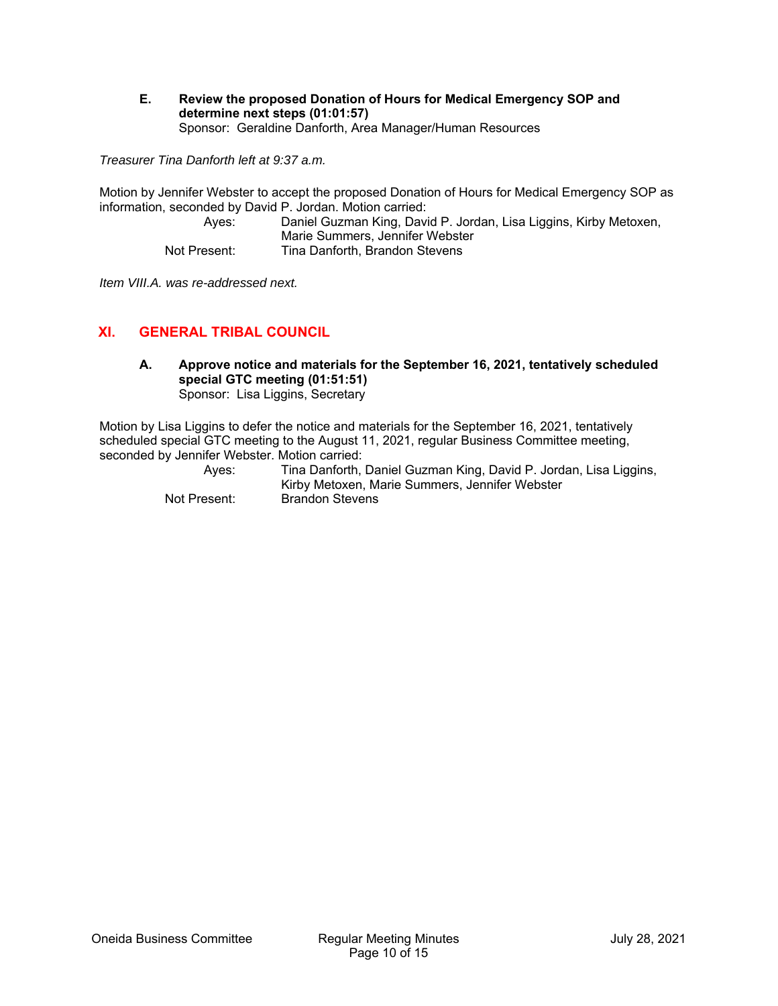#### **E. Review the proposed Donation of Hours for Medical Emergency SOP and determine next steps (01:01:57)**  Sponsor: Geraldine Danforth, Area Manager/Human Resources

*Treasurer Tina Danforth left at 9:37 a.m.* 

Motion by Jennifer Webster to accept the proposed Donation of Hours for Medical Emergency SOP as information, seconded by David P. Jordan. Motion carried:

| Aves:        | Daniel Guzman King, David P. Jordan, Lisa Liggins, Kirby Metoxen, |
|--------------|-------------------------------------------------------------------|
|              | Marie Summers, Jennifer Webster                                   |
| Not Present: | Tina Danforth, Brandon Stevens                                    |

*Item VIII.A. was re-addressed next.* 

# **XI. GENERAL TRIBAL COUNCIL**

**A. Approve notice and materials for the September 16, 2021, tentatively scheduled special GTC meeting (01:51:51)**  Sponsor: Lisa Liggins, Secretary

Motion by Lisa Liggins to defer the notice and materials for the September 16, 2021, tentatively scheduled special GTC meeting to the August 11, 2021, regular Business Committee meeting, seconded by Jennifer Webster. Motion carried:

| Ayes:        | Tina Danforth, Daniel Guzman King, David P. Jordan, Lisa Liggins, |
|--------------|-------------------------------------------------------------------|
|              | Kirby Metoxen, Marie Summers, Jennifer Webster                    |
| Not Present: | Brandon Stevens                                                   |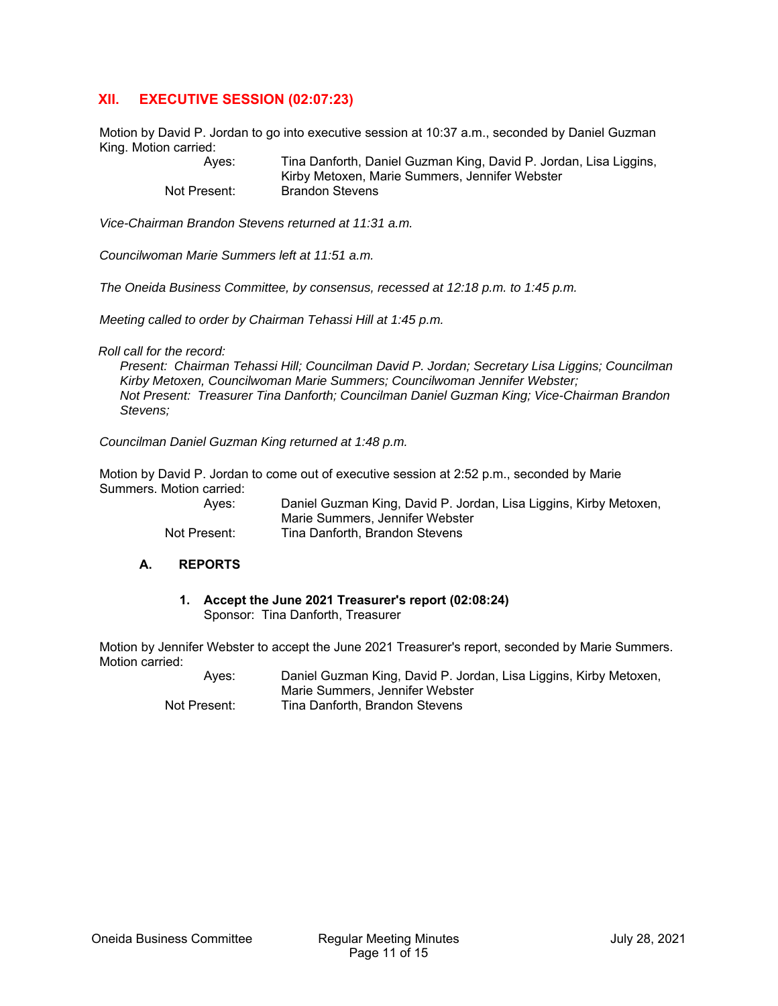# **XII. EXECUTIVE SESSION (02:07:23)**

Motion by David P. Jordan to go into executive session at 10:37 a.m., seconded by Daniel Guzman King. Motion carried:

> Ayes: Tina Danforth, Daniel Guzman King, David P. Jordan, Lisa Liggins, Kirby Metoxen, Marie Summers, Jennifer Webster Not Present: Brandon Stevens

*Vice-Chairman Brandon Stevens returned at 11:31 a.m.* 

*Councilwoman Marie Summers left at 11:51 a.m.* 

*The Oneida Business Committee, by consensus, recessed at 12:18 p.m. to 1:45 p.m.* 

*Meeting called to order by Chairman Tehassi Hill at 1:45 p.m.* 

*Roll call for the record:* 

*Present: Chairman Tehassi Hill; Councilman David P. Jordan; Secretary Lisa Liggins; Councilman Kirby Metoxen, Councilwoman Marie Summers; Councilwoman Jennifer Webster; Not Present: Treasurer Tina Danforth; Councilman Daniel Guzman King; Vice-Chairman Brandon Stevens;* 

*Councilman Daniel Guzman King returned at 1:48 p.m.* 

Motion by David P. Jordan to come out of executive session at 2:52 p.m., seconded by Marie Summers. Motion carried:

> Ayes: Daniel Guzman King, David P. Jordan, Lisa Liggins, Kirby Metoxen, Marie Summers, Jennifer Webster Not Present: Tina Danforth, Brandon Stevens

#### **A. REPORTS**

#### **1. Accept the June 2021 Treasurer's report (02:08:24)**  Sponsor: Tina Danforth, Treasurer

Motion by Jennifer Webster to accept the June 2021 Treasurer's report, seconded by Marie Summers. Motion carried:

> Ayes: Daniel Guzman King, David P. Jordan, Lisa Liggins, Kirby Metoxen, Marie Summers, Jennifer Webster Not Present: Tina Danforth, Brandon Stevens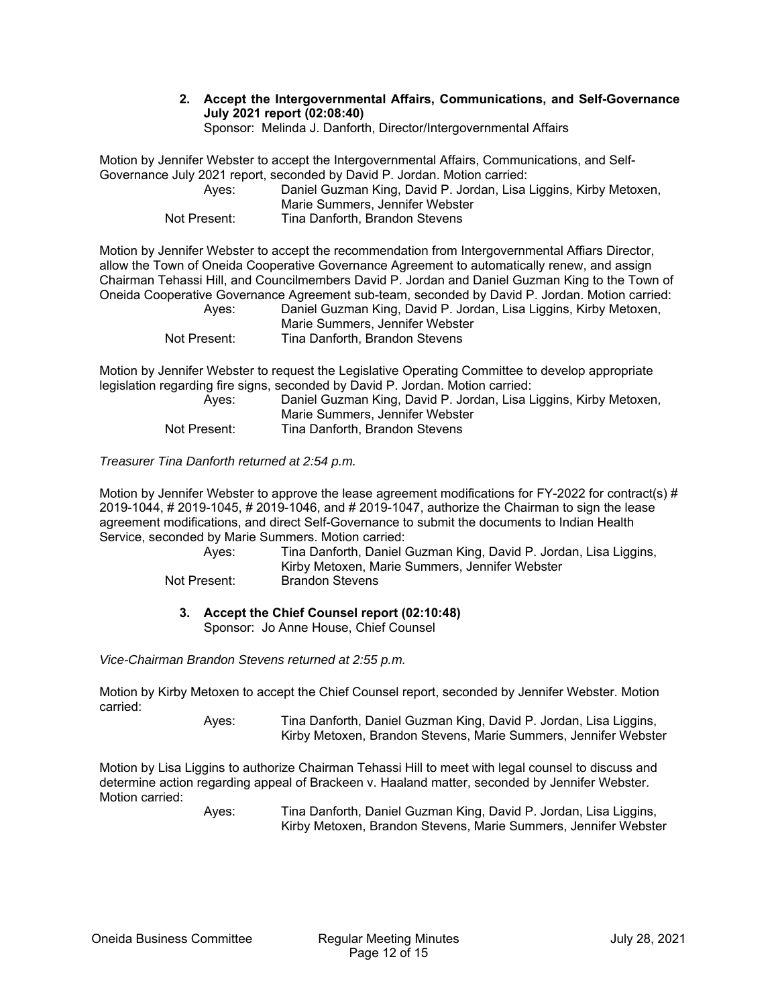**2. Accept the Intergovernmental Affairs, Communications, and Self-Governance July 2021 report (02:08:40)** 

Sponsor: Melinda J. Danforth, Director/Intergovernmental Affairs

Motion by Jennifer Webster to accept the Intergovernmental Affairs, Communications, and Self-Governance July 2021 report, seconded by David P. Jordan. Motion carried:

| Aves:        | Daniel Guzman King, David P. Jordan, Lisa Liggins, Kirby Metoxen, |
|--------------|-------------------------------------------------------------------|
|              | Marie Summers, Jennifer Webster                                   |
| Not Present: | Tina Danforth, Brandon Stevens                                    |

Motion by Jennifer Webster to accept the recommendation from Intergovernmental Affiars Director, allow the Town of Oneida Cooperative Governance Agreement to automatically renew, and assign Chairman Tehassi Hill, and Councilmembers David P. Jordan and Daniel Guzman King to the Town of Oneida Cooperative Governance Agreement sub-team, seconded by David P. Jordan. Motion carried: Kirby Metoxen,

| Ayes:        | Daniel Guzman King, David P. Jordan, Lisa Liggins, P |
|--------------|------------------------------------------------------|
|              | Marie Summers, Jennifer Webster                      |
| Not Present: | Tina Danforth, Brandon Stevens                       |

Motion by Jennifer Webster to request the Legislative Operating Committee to develop appropriate legislation regarding fire signs, seconded by David P. Jordan. Motion carried:

| Aves:        | Daniel Guzman King, David P. Jordan, Lisa Liggins, Kirby Metoxen,<br>Marie Summers, Jennifer Webster |
|--------------|------------------------------------------------------------------------------------------------------|
| Not Present: | Tina Danforth, Brandon Stevens                                                                       |

*Treasurer Tina Danforth returned at 2:54 p.m.* 

Motion by Jennifer Webster to approve the lease agreement modifications for FY-2022 for contract(s)  $\#$ 2019-1044, # 2019-1045, # 2019-1046, and # 2019-1047, authorize the Chairman to sign the lease agreement modifications, and direct Self-Governance to submit the documents to Indian Health Service, seconded by Marie Summers. Motion carried:

| Aves:        | Tina Danforth, Daniel Guzman King, David P. Jordan, Lisa Liggins,<br>Kirby Metoxen, Marie Summers, Jennifer Webster |
|--------------|---------------------------------------------------------------------------------------------------------------------|
|              |                                                                                                                     |
| Not Present: | Brandon Stevens                                                                                                     |

# **3. Accept the Chief Counsel report (02:10:48)**

Sponsor: Jo Anne House, Chief Counsel

*Vice-Chairman Brandon Stevens returned at 2:55 p.m.* 

Motion by Kirby Metoxen to accept the Chief Counsel report, seconded by Jennifer Webster. Motion carried:

> Ayes: Tina Danforth, Daniel Guzman King, David P. Jordan, Lisa Liggins, Kirby Metoxen, Brandon Stevens, Marie Summers, Jennifer Webster

Motion by Lisa Liggins to authorize Chairman Tehassi Hill to meet with legal counsel to discuss and determine action regarding appeal of Brackeen v. Haaland matter, seconded by Jennifer Webster. Motion carried: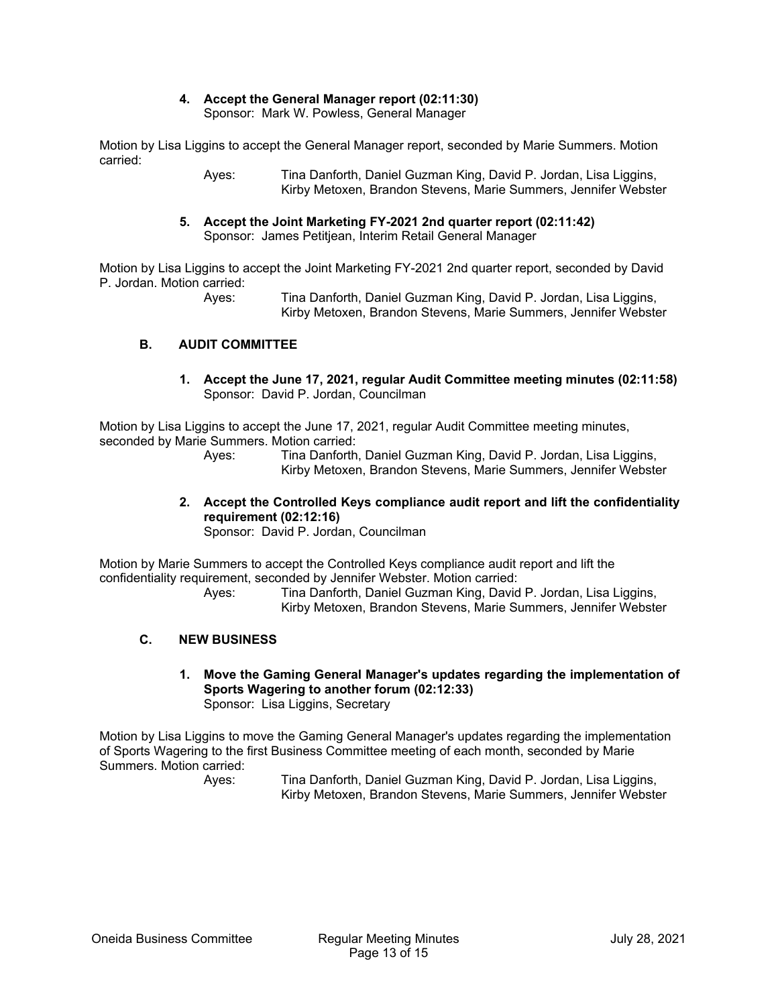# **4. Accept the General Manager report (02:11:30)**

Sponsor: Mark W. Powless, General Manager

Motion by Lisa Liggins to accept the General Manager report, seconded by Marie Summers. Motion carried:

> Ayes: Tina Danforth, Daniel Guzman King, David P. Jordan, Lisa Liggins, Kirby Metoxen, Brandon Stevens, Marie Summers, Jennifer Webster

#### **5. Accept the Joint Marketing FY-2021 2nd quarter report (02:11:42)**  Sponsor: James Petitjean, Interim Retail General Manager

Motion by Lisa Liggins to accept the Joint Marketing FY-2021 2nd quarter report, seconded by David P. Jordan. Motion carried:

 Ayes: Tina Danforth, Daniel Guzman King, David P. Jordan, Lisa Liggins, Kirby Metoxen, Brandon Stevens, Marie Summers, Jennifer Webster

# **B. AUDIT COMMITTEE**

**1. Accept the June 17, 2021, regular Audit Committee meeting minutes (02:11:58)**  Sponsor: David P. Jordan, Councilman

Motion by Lisa Liggins to accept the June 17, 2021, regular Audit Committee meeting minutes, seconded by Marie Summers. Motion carried:

 Ayes: Tina Danforth, Daniel Guzman King, David P. Jordan, Lisa Liggins, Kirby Metoxen, Brandon Stevens, Marie Summers, Jennifer Webster

**2. Accept the Controlled Keys compliance audit report and lift the confidentiality requirement (02:12:16)** 

Sponsor: David P. Jordan, Councilman

Motion by Marie Summers to accept the Controlled Keys compliance audit report and lift the confidentiality requirement, seconded by Jennifer Webster. Motion carried:

 Ayes: Tina Danforth, Daniel Guzman King, David P. Jordan, Lisa Liggins, Kirby Metoxen, Brandon Stevens, Marie Summers, Jennifer Webster

# **C. NEW BUSINESS**

**1. Move the Gaming General Manager's updates regarding the implementation of Sports Wagering to another forum (02:12:33)**  Sponsor: Lisa Liggins, Secretary

Motion by Lisa Liggins to move the Gaming General Manager's updates regarding the implementation of Sports Wagering to the first Business Committee meeting of each month, seconded by Marie Summers. Motion carried: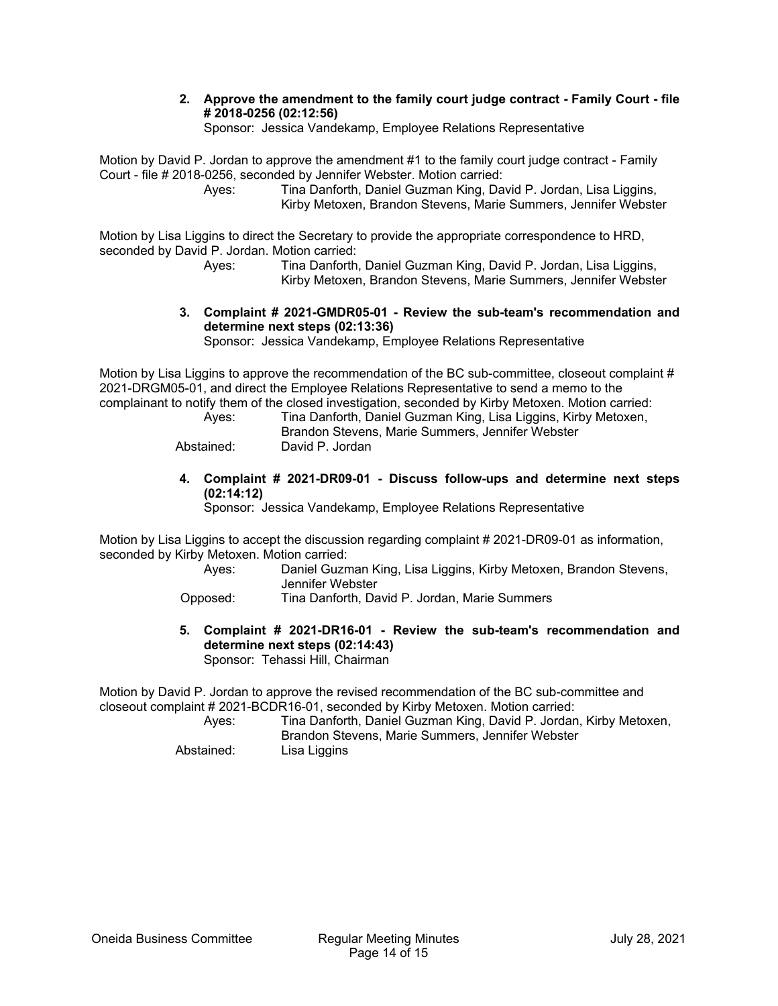#### **2. Approve the amendment to the family court judge contract - Family Court - file # 2018-0256 (02:12:56)**

Sponsor: Jessica Vandekamp, Employee Relations Representative

Motion by David P. Jordan to approve the amendment #1 to the family court judge contract - Family Court - file # 2018-0256, seconded by Jennifer Webster. Motion carried:

 Ayes: Tina Danforth, Daniel Guzman King, David P. Jordan, Lisa Liggins, Kirby Metoxen, Brandon Stevens, Marie Summers, Jennifer Webster

Motion by Lisa Liggins to direct the Secretary to provide the appropriate correspondence to HRD, seconded by David P. Jordan. Motion carried:

 Ayes: Tina Danforth, Daniel Guzman King, David P. Jordan, Lisa Liggins, Kirby Metoxen, Brandon Stevens, Marie Summers, Jennifer Webster

#### **3. Complaint # 2021-GMDR05-01 - Review the sub-team's recommendation and determine next steps (02:13:36)**

Sponsor: Jessica Vandekamp, Employee Relations Representative

Motion by Lisa Liggins to approve the recommendation of the BC sub-committee, closeout complaint # 2021-DRGM05-01, and direct the Employee Relations Representative to send a memo to the complainant to notify them of the closed investigation, seconded by Kirby Metoxen. Motion carried:

| Ayes:      | Tina Danforth, Daniel Guzman King, Lisa Liggins, Kirby Metoxen,<br>Brandon Stevens, Marie Summers, Jennifer Webster |
|------------|---------------------------------------------------------------------------------------------------------------------|
| Abstained: | David P. Jordan                                                                                                     |

#### **4. Complaint # 2021-DR09-01 - Discuss follow-ups and determine next steps (02:14:12)**

Sponsor: Jessica Vandekamp, Employee Relations Representative

Motion by Lisa Liggins to accept the discussion regarding complaint # 2021-DR09-01 as information, seconded by Kirby Metoxen. Motion carried:

 Ayes: Daniel Guzman King, Lisa Liggins, Kirby Metoxen, Brandon Stevens, Jennifer Webster

Opposed: Tina Danforth, David P. Jordan, Marie Summers

**5. Complaint # 2021-DR16-01 - Review the sub-team's recommendation and determine next steps (02:14:43)**  Sponsor: Tehassi Hill, Chairman

Motion by David P. Jordan to approve the revised recommendation of the BC sub-committee and closeout complaint # 2021-BCDR16-01, seconded by Kirby Metoxen. Motion carried:

 Ayes: Tina Danforth, Daniel Guzman King, David P. Jordan, Kirby Metoxen, Brandon Stevens, Marie Summers, Jennifer Webster Abstained: Lisa Liggins